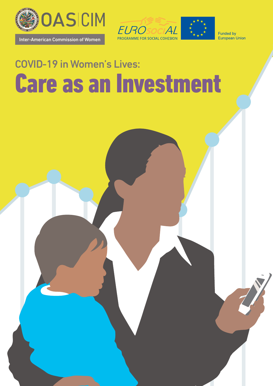

Inter-American Commission of Women

Inter-American Commission of Women



Funded by European Union

# COVID-19 in Women's Lives: Care as an Investment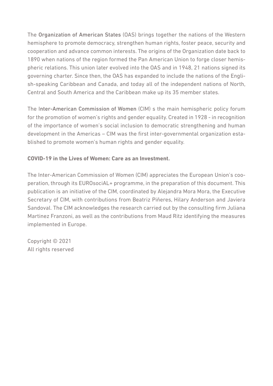The Organization of American States (OAS) brings together the nations of the Western hemisphere to promote democracy, strengthen human rights, foster peace, security and cooperation and advance common interests. The origins of the Organization date back to 1890 when nations of the region formed the Pan American Union to forge closer hemispheric relations. This union later evolved into the OAS and in 1948, 21 nations signed its governing charter. Since then, the OAS has expanded to include the nations of the English-speaking Caribbean and Canada, and today all of the independent nations of North, Central and South America and the Caribbean make up its 35 member states.

The Inter-American Commission of Women (CIM) s the main hemispheric policy forum for the promotion of women's rights and gender equality. Created in 1928 - in recognition of the importance of women's social inclusion to democratic strengthening and human development in the Americas – CIM was the first inter-governmental organization established to promote women's human rights and gender equality.

#### **COVID-19 in the Lives of Women: Care as an Investment.**

The Inter-American Commission of Women (CIM) appreciates the European Union's cooperation, through its EUROsociAL+ programme, in the preparation of this document. This publication is an initiative of the CIM, coordinated by Alejandra Mora Mora, the Executive Secretary of CIM, with contributions from Beatriz Piñeres, Hilary Anderson and Javiera Sandoval. The CIM acknowledges the research carried out by the consulting firm Juliana Martinez Franzoni, as well as the contributions from Maud Ritz identifying the measures implemented in Europe.

Copyright © 2021 All rights reserved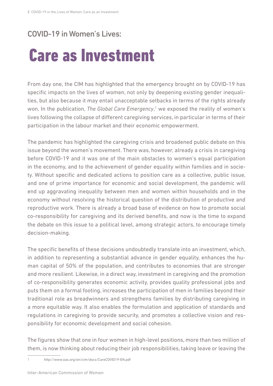#### COVID-19 in Women's Lives:

## Care as Investment

From day one, the CIM has highlighted that the emergency brought on by COVID-19 has specific impacts on the lives of women, not only by deepening existing gender inequalities, but also because it may entail unacceptable setbacks in terms of the rights already won. In the publication, The Global Care Emergency,<sup>1</sup> we exposed the reality of women's lives following the collapse of different caregiving services, in particular in terms of their participation in the labour market and their economic empowerment.

The pandemic has highlighted the caregiving crisis and broadened public debate on this issue beyond the women's movement. There was, however, already a crisis in caregiving before COVID-19 and it was one of the main obstacles to women's equal participation in the economy, and to the achievement of gender equality within families and in society. Without specific and dedicated actions to position care as a collective, public issue, and one of prime importance for economic and social development, the pandemic will end up aggravating inequality between men and women within households and in the economy without resolving the historical question of the distribution of productive and reproductive work. There is already a broad base of evidence on how to promote social co-responsibility for caregiving and its derived benefits, and now is the time to expand the debate on this issue to a political level, among strategic actors, to encourage timely decision-making.

The specific benefits of these decisions undoubtedly translate into an investment, which, in addition to representing a substantial advance in gender equality, enhances the human capital of 50% of the population, and contributes to economies that are stronger and more resilient. Likewise, in a direct way, investment in caregiving and the promotion of co-responsibility generates economic activity, provides quality professional jobs and puts them on a formal footing, increases the participation of men in families beyond their traditional role as breadwinners and strengthens families by distributing caregiving in a more equitable way. It also enables the formulation and application of standards and regulations in caregiving to provide security, and promotes a collective vision and responsibility for economic development and social cohesion.

The figures show that one in four women in high-level positions, more than two million of them, is now thinking about reducing their job responsibilities, taking leave or leaving the

1 <http://www.oas.org/en/cim/docs/CareCOVID19-EN.pdf>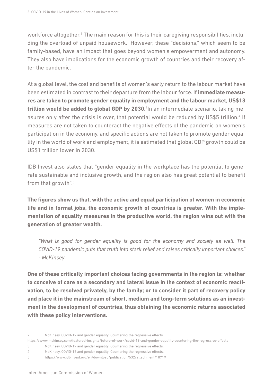workforce altogether.<sup>2</sup> The main reason for this is their caregiving responsibilities, including the overload of unpaid housework. However, these "decisions," which seem to be family-based, have an impact that goes beyond women's empowerment and autonomy. They also have implications for the economic growth of countries and their recovery after the pandemic.

At a global level, the cost and benefits of women's early return to the labour market have been estimated in contrast to their departure from the labour force. If **immediate measures are taken to promote gender equality in employment and the labour market, US\$13 trillion would be added to global GDP by 2030.**<sup>3</sup> In an intermediate scenario, taking measures only after the crisis is over, that potential would be reduced by US\$5 trillion.<sup>4</sup> If measures are not taken to counteract the negative effects of the pandemic on women's participation in the economy, and specific actions are not taken to promote gender equality in the world of work and employment, it is estimated that global GDP growth could be US\$1 trillion lower in 2030.

IDB Invest also states that "gender equality in the workplace has the potential to generate sustainable and inclusive growth, and the region also has great potential to benefit from that growth".5

**The figures show us that, with the active and equal participation of women in economic life and in formal jobs, the economic growth of countries is greater. With the implementation of equality measures in the productive world, the region wins out with the generation of greater wealth.** 

*"What is good for gender equality is good for the economy and society as well. The COVID-19 pandemic puts that truth into stark relief and raises critically important choices." - McKinsey*

**One of these critically important choices facing governments in the region is: whether to conceive of care as a secondary and lateral issue in the context of economic reactivation, to be resolved privately, by the family; or to consider it part of recovery policy and place it in the mainstream of short, medium and long-term solutions as an investment in the development of countries, thus obtaining the economic returns associated with these policy interventions.** 

<sup>2</sup> McKinsey. COVID-19 and gender equality: Countering the regressive effects.

<https://www.mckinsey.com/featured-insights/future-of-work/covid-19-and-gender-equality-countering-the-regressive-effects>

<sup>3</sup> McKinsey. COVID-19 and gender equality: Countering the regressive effects.

<sup>4</sup> McKinsey. COVID-19 and gender equality: Countering the regressive effects.

<sup>5</sup> <https://www.idbinvest.org/en/download/publication/532/attachment/10719>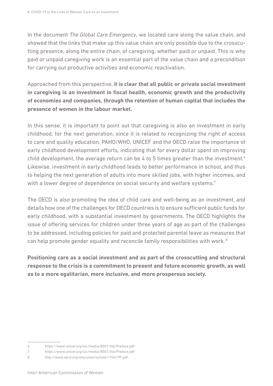In the document *The Global Care Emergency*, we located care along the value chain, and showed that the links that make up this value chain are only possible due to the crosscutting presence, along the entire chain, of caregiving, whether paid or unpaid. This is why paid or unpaid caregiving work is an essential part of the value chain and a precondition for carrying out productive activities and economic reactivation.

Approached from this perspective, **it is clear that all public or private social investment in caregiving is an investment in fiscal health, economic growth and the productivity of economies and companies, through the retention of human capital that includes the presence of women in the labour market.**

In this sense, it is important to point out that caregiving is also an investment in early childhood, for the next generation, since it is related to recognizing the right of access to care and quality education. PAHO/WHO, UNICEF and the OECD raise the importance of early childhood development efforts, indicating that for every dollar spent on improving child development, the average return can be 4 to 5 times greater than the investment.<sup>6</sup> Likewise, investment in early childhood leads to better performance in school, and thus to helping the next generation of adults into more skilled jobs, with higher incomes, and with a lower degree of dependence on social security and welfare systems.<sup>7</sup>

The OECD is also promoting the idea of child care and well-being as an investment, and details how one of the challenges for OECD countries is to ensure sufficient public funds for early childhood, with a substantial investment by governments. The OECD highlights the issue of offering services for children under three years of age as part of the challenges to be addressed, including policies for paid and protected parental leave as measures that can help promote gender equality and reconcile family responsibilities with work. 8

**Positioning care as a social investment and as part of the crosscutting and structural response to the crisis is a commitment to present and future economic growth, as well as to a more egalitarian, more inclusive, and more prosperous society.** 

<sup>6</sup> <https://www.unicef.org/lac/media/8501/file/Preface.pdf>

<sup>7</sup> <https://www.unicef.org/lac/media/8501/file/Preface.pdf>

<sup>8</sup> <http://www.oecd.org/education/school/1944197.pdf>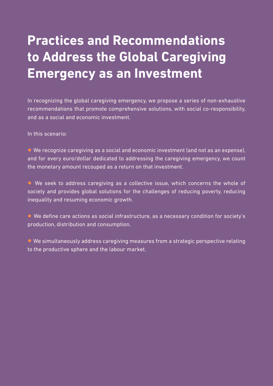#### **Practices and Recommendations to Address the Global Caregiving Emergency as an Investment**

In recognizing the global caregiving emergency, we propose a series of non-exhaustive recommendations that promote comprehensive solutions, with social co-responsibility, and as a social and economic investment.

In this scenario:

• We recognize caregiving as a social and economic investment (and not as an expense), and for every euro/dollar dedicated to addressing the caregiving emergency, we count the monetary amount recouped as a return on that investment.

• We seek to address caregiving as a collective issue, which concerns the whole of society and provides global solutions for the challenges of reducing poverty, reducing inequality and resuming economic growth.

• We define care actions as social infrastructure, as a necessary condition for society's production, distribution and consumption.

• We simultaneously address caregiving measures from a strategic perspective relating to the productive sphere and the labour market.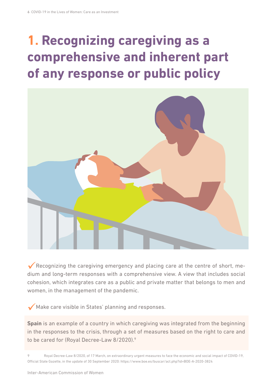## **1. Recognizing caregiving as a comprehensive and inherent part of any response or public policy**



Recognizing the caregiving emergency and placing care at the centre of short, medium and long-term responses with a comprehensive view. A view that includes social cohesion, which integrates care as a public and private matter that belongs to men and women, in the management of the pandemic.

Make care visible in States' planning and responses.

**Spain** is an example of a country in which caregiving was integrated from the beginning in the responses to the crisis, through a set of measures based on the right to care and to be cared for (Royal Decree-Law 8/2020).9

Royal Decree-Law 8/2020, of 17 March, on extraordinary urgent measures to face the economic and social impact of COVID-19, Official State Gazette, in the update of 30 September 2020:<https://www.boe.es/buscar/act.php?id=BOE-A-2020-3824>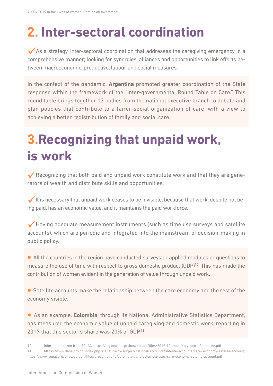### **2. Inter-sectoral coordination**

 $\blacktriangledown$  As a strategy, inter-sectoral coordination that addresses the caregiving emergency in a comprehensive manner; looking for synergies, alliances and opportunities to link efforts between macroeconomic, productive, labour and social measures.

In the context of the pandemic, **Argentina** promoted greater coordination of the State response within the framework of the "Inter-governmental Round Table on Care." This round table brings together 13 bodies from the national executive branch to debate and plan policies that contribute to a fairer social organization of care, with a view to achieving a better redistribution of family and social care.

#### **3.Recognizing that unpaid work, is work**

Recognizing that both paid and unpaid work constitute work and that they are generators of wealth and distribute skills and opportunities.

It is necessary that unpaid work ceases to be invisible, because that work, despite not being paid, has an economic value, and it maintains the paid workforce.

 $\blacktriangledown$  Having adequate measurement instruments (such as time use surveys and satellite accounts), which are periodic and integrated into the mainstream of decision-making in public policy.

• All the countries in the region have conducted surveys or applied modules or questions to measure the use of time with respect to gross domestic product (GDP)<sup>10</sup>. This has made the contribution of women evident in the generation of value through unpaid work.

• Satellite accounts make the relationship between the care economy and the rest of the economy visible.

• As an example, **Colombia**, through its National Administrative Statistics Department, has measured the economic value of unpaid caregiving and domestic work, reporting in 2017 that this sector's share was 20% of GDP.<sup>11</sup>

- 10 Information taken from ECLAC: [https://oig.cepal.org/sites/default/files/2019-10\\_repository\\_use\\_of\\_time\\_en.pdf](https://oig.cepal.org/sites/default/files/2019-10_repository_use_of_time_en.pdf)
- 11 [https://www.dane.gov.co/index.php/statistics-by-subject/national-accounts/satelite-accounts/care- economy-satelite-account](https://www.dane.gov.co/index.php/statistics-by-subject/national-accounts/satelite-accounts/care-%20economy-satelite-account); <https://www.cepal.org/sites/default/files/presentations/colombia-dane-colombia-csec-care-economy-satelite-account.pdf>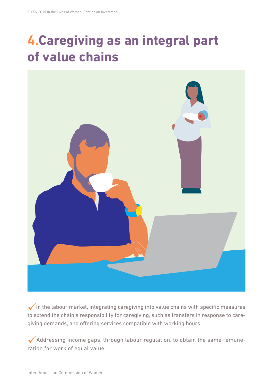#### **4.Caregiving as an integral part of value chains**



 $\sqrt{}$  In the labour market, integrating caregiving into value chains with specific measures to extend the chain's responsibility for caregiving, such as transfers in response to caregiving demands, and offering services compatible with working hours.

Addressing income gaps, through labour regulation, to obtain the same remuneration for work of equal value.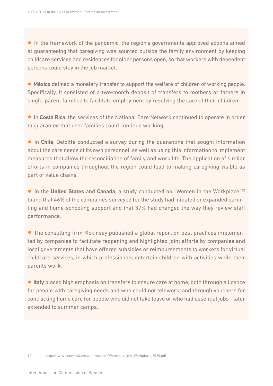• In the framework of the pandemic, the region's governments approved actions aimed at guaranteeing that caregiving was sourced outside the family environment by keeping childcare services and residences for older persons open, so that workers with dependent persons could stay in the job market.

• **México** defined a monetary transfer to support the welfare of children of working people. Specifically, it consisted of a two-month deposit of transfers to mothers or fathers in single-parent families to facilitate employment by resolving the care of their children.

• In **Costa Rica**, the services of the National Care Network continued to operate in order to guarantee that user families could continue working.

• In **Chile**, Deloitte conducted a survey during the quarantine that sought information about the care needs of its own personnel, as well as using this information to implement measures that allow the reconciliation of family and work life. The application of similar efforts in companies throughout the region could lead to making caregiving visible as part of value chains.

• In the **United States** and **Canada**, a study conducted on "Women in the Workplace"12 found that 46% of the companies surveyed for the study had initiated or expanded parenting and home-schooling support and that 37% had changed the way they review staff performance.

• The consulting firm Mckinsey published a global report on best practices implemented by companies to facilitate reopening and highlighted joint efforts by companies and local governments that have offered subsidies or reimbursements to workers for virtual childcare services, in which professionals entertain children with activities while their parents work.

• **Italy** placed high emphasis on transfers to ensure care at home, both through a licence for people with caregiving needs and who could not telework, and through vouchers for contracting home care for people who did not take leave or who had essential jobs - later extended to summer camps.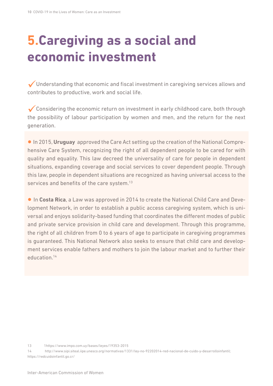### **5.Caregiving as a social and economic investment**

Understanding that economic and fiscal investment in caregiving services allows and contributes to productive, work and social life.

Considering the economic return on investment in early childhood care, both through the possibility of labour participation by women and men, and the return for the next generation.

• In 2015, **Uruguay** approved the Care Act setting up the creation of the National Comprehensive Care System, recognizing the right of all dependent people to be cared for with quality and equality. This law decreed the universality of care for people in dependent situations, expanding coverage and social services to cover dependent people. Through this law, people in dependent situations are recognized as having universal access to the services and benefits of the care system.<sup>13</sup>

• In **Costa Rica**, a Law was approved in 2014 to create the National Child Care and Development Network, in order to establish a public access caregiving system, which is universal and enjoys solidarity-based funding that coordinates the different modes of public and private service provision in child care and development. Through this programme, the right of all children from 0 to 6 years of age to participate in caregiving programmes is guaranteed. This National Network also seeks to ensure that child care and development services enable fathers and mothers to join the labour market and to further their education.14

14 http://www.sipi.siteal.iipe.unesco.org/normativas/1331/ley-no-92202014-red-nacional-de-cuido-y-desarrolloinfantil; https://redcuidoinfantil.go.cr/

<sup>13</sup> 1https://www.impo.com.uy/bases/leyes/19353-2015